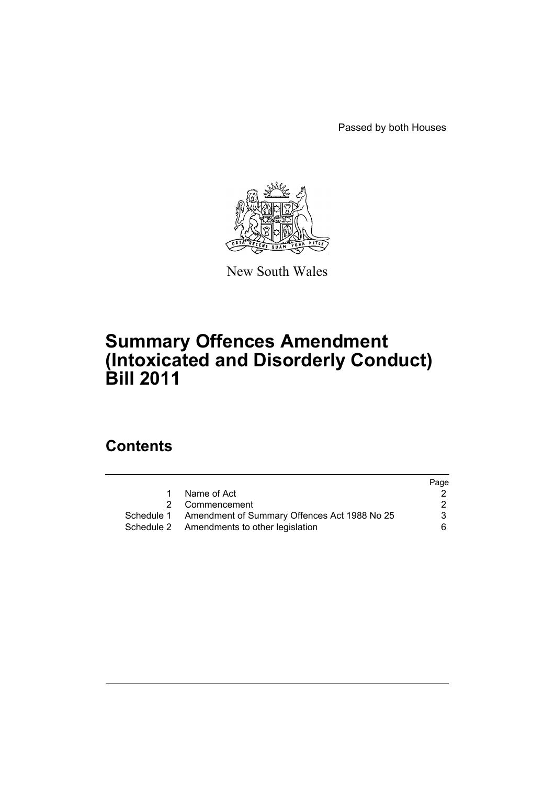Passed by both Houses



New South Wales

# **Summary Offences Amendment (Intoxicated and Disorderly Conduct) Bill 2011**

# **Contents**

|                                                         | Page |
|---------------------------------------------------------|------|
| Name of Act                                             |      |
| 2 Commencement                                          | 2    |
| Schedule 1 Amendment of Summary Offences Act 1988 No 25 | 3    |
| Schedule 2 Amendments to other legislation              | 6.   |
|                                                         |      |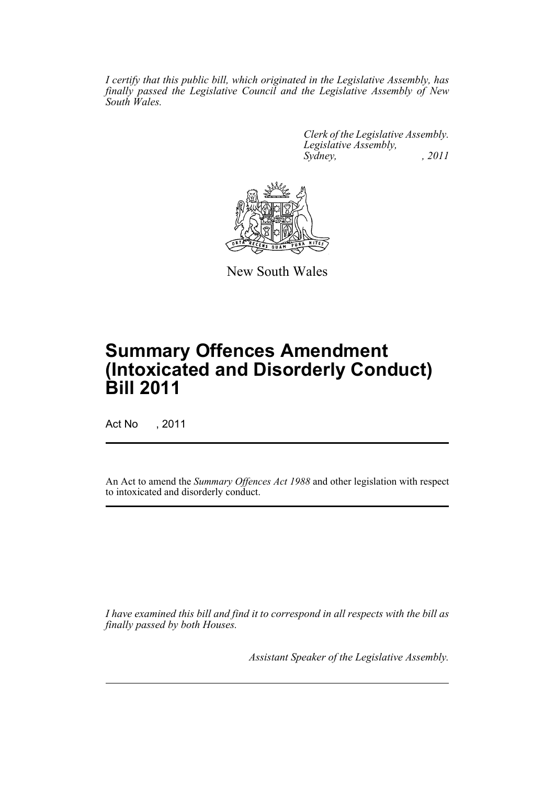*I certify that this public bill, which originated in the Legislative Assembly, has finally passed the Legislative Council and the Legislative Assembly of New South Wales.*

> *Clerk of the Legislative Assembly. Legislative Assembly, Sydney, , 2011*



New South Wales

# **Summary Offences Amendment (Intoxicated and Disorderly Conduct) Bill 2011**

Act No , 2011

An Act to amend the *Summary Offences Act 1988* and other legislation with respect to intoxicated and disorderly conduct.

*I have examined this bill and find it to correspond in all respects with the bill as finally passed by both Houses.*

*Assistant Speaker of the Legislative Assembly.*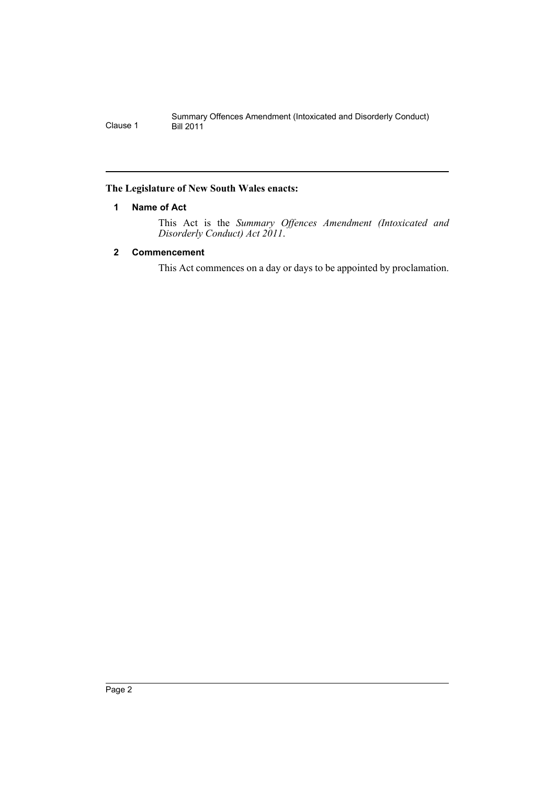## <span id="page-3-0"></span>**The Legislature of New South Wales enacts:**

# **1 Name of Act**

This Act is the *Summary Offences Amendment (Intoxicated and Disorderly Conduct) Act 2011*.

# <span id="page-3-1"></span>**2 Commencement**

This Act commences on a day or days to be appointed by proclamation.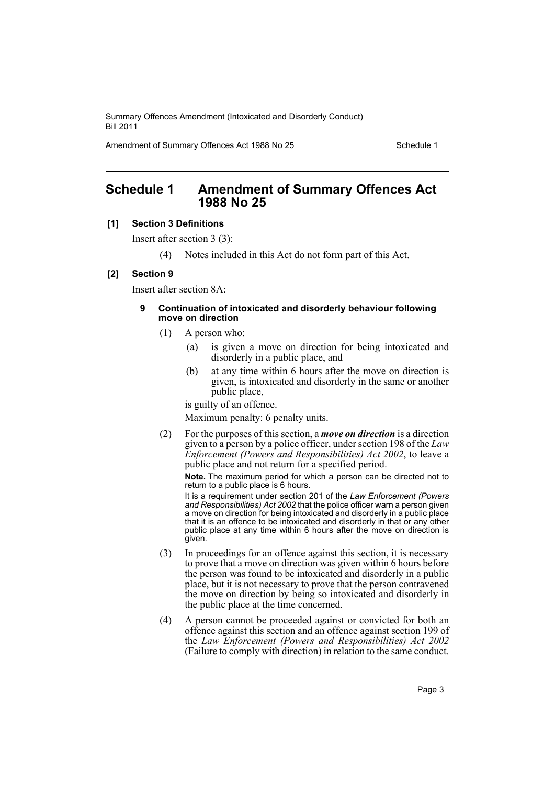Amendment of Summary Offences Act 1988 No 25 Schedule 1

# <span id="page-4-0"></span>**Schedule 1 Amendment of Summary Offences Act 1988 No 25**

## **[1] Section 3 Definitions**

Insert after section 3 (3):

(4) Notes included in this Act do not form part of this Act.

#### **[2] Section 9**

Insert after section 8A:

#### **9 Continuation of intoxicated and disorderly behaviour following move on direction**

- (1) A person who:
	- (a) is given a move on direction for being intoxicated and disorderly in a public place, and
	- (b) at any time within 6 hours after the move on direction is given, is intoxicated and disorderly in the same or another public place,

is guilty of an offence.

Maximum penalty: 6 penalty units.

(2) For the purposes of this section, a *move on direction* is a direction given to a person by a police officer, under section 198 of the *Law Enforcement (Powers and Responsibilities) Act 2002*, to leave a public place and not return for a specified period.

**Note.** The maximum period for which a person can be directed not to return to a public place is 6 hours.

It is a requirement under section 201 of the *Law Enforcement (Powers* and Responsibilities) Act 2002 that the police officer warn a person given a move on direction for being intoxicated and disorderly in a public place that it is an offence to be intoxicated and disorderly in that or any other public place at any time within 6 hours after the move on direction is given.

- (3) In proceedings for an offence against this section, it is necessary to prove that a move on direction was given within 6 hours before the person was found to be intoxicated and disorderly in a public place, but it is not necessary to prove that the person contravened the move on direction by being so intoxicated and disorderly in the public place at the time concerned.
- (4) A person cannot be proceeded against or convicted for both an offence against this section and an offence against section 199 of the *Law Enforcement (Powers and Responsibilities) Act 2002* (Failure to comply with direction) in relation to the same conduct.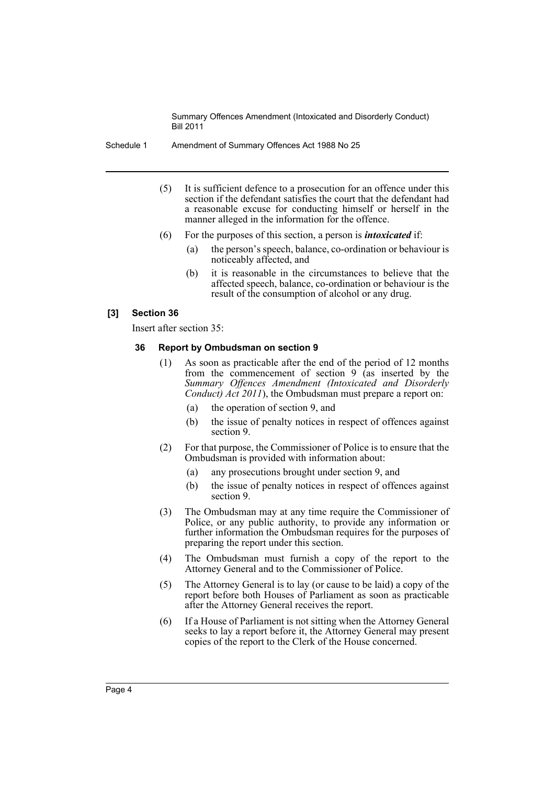Schedule 1 Amendment of Summary Offences Act 1988 No 25

- (5) It is sufficient defence to a prosecution for an offence under this section if the defendant satisfies the court that the defendant had a reasonable excuse for conducting himself or herself in the manner alleged in the information for the offence.
- (6) For the purposes of this section, a person is *intoxicated* if:
	- (a) the person's speech, balance, co-ordination or behaviour is noticeably affected, and
	- (b) it is reasonable in the circumstances to believe that the affected speech, balance, co-ordination or behaviour is the result of the consumption of alcohol or any drug.

#### **[3] Section 36**

Insert after section 35:

#### **36 Report by Ombudsman on section 9**

- (1) As soon as practicable after the end of the period of 12 months from the commencement of section 9 (as inserted by the *Summary Offences Amendment (Intoxicated and Disorderly Conduct) Act 2011*), the Ombudsman must prepare a report on:
	- (a) the operation of section 9, and
	- (b) the issue of penalty notices in respect of offences against section 9.
- (2) For that purpose, the Commissioner of Police is to ensure that the Ombudsman is provided with information about:
	- (a) any prosecutions brought under section 9, and
	- (b) the issue of penalty notices in respect of offences against section 9.
- (3) The Ombudsman may at any time require the Commissioner of Police, or any public authority, to provide any information or further information the Ombudsman requires for the purposes of preparing the report under this section.
- (4) The Ombudsman must furnish a copy of the report to the Attorney General and to the Commissioner of Police.
- (5) The Attorney General is to lay (or cause to be laid) a copy of the report before both Houses of Parliament as soon as practicable after the Attorney General receives the report.
- (6) If a House of Parliament is not sitting when the Attorney General seeks to lay a report before it, the Attorney General may present copies of the report to the Clerk of the House concerned.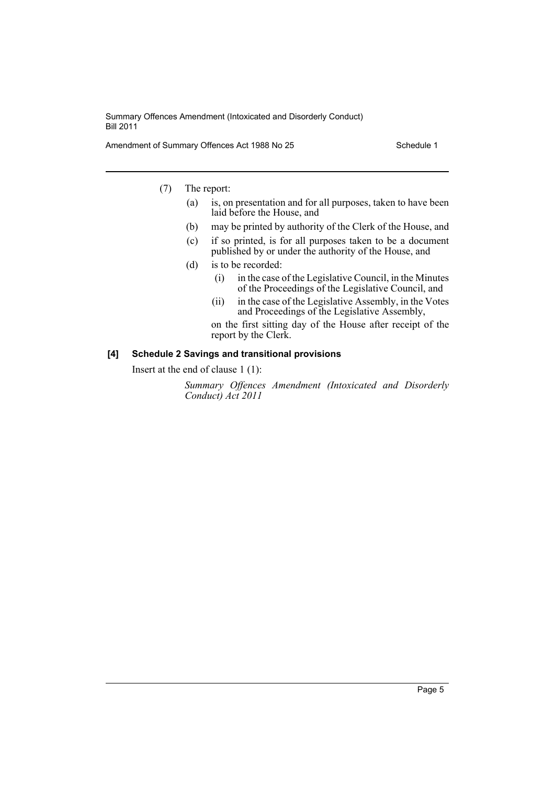Amendment of Summary Offences Act 1988 No 25

(7) The report:

- (a) is, on presentation and for all purposes, taken to have been laid before the House, and
- (b) may be printed by authority of the Clerk of the House, and
- (c) if so printed, is for all purposes taken to be a document published by or under the authority of the House, and
- (d) is to be recorded:
	- (i) in the case of the Legislative Council, in the Minutes of the Proceedings of the Legislative Council, and
	- (ii) in the case of the Legislative Assembly, in the Votes and Proceedings of the Legislative Assembly,
	- on the first sitting day of the House after receipt of the report by the Clerk.

## **[4] Schedule 2 Savings and transitional provisions**

Insert at the end of clause 1 (1):

*Summary Offences Amendment (Intoxicated and Disorderly Conduct) Act 2011*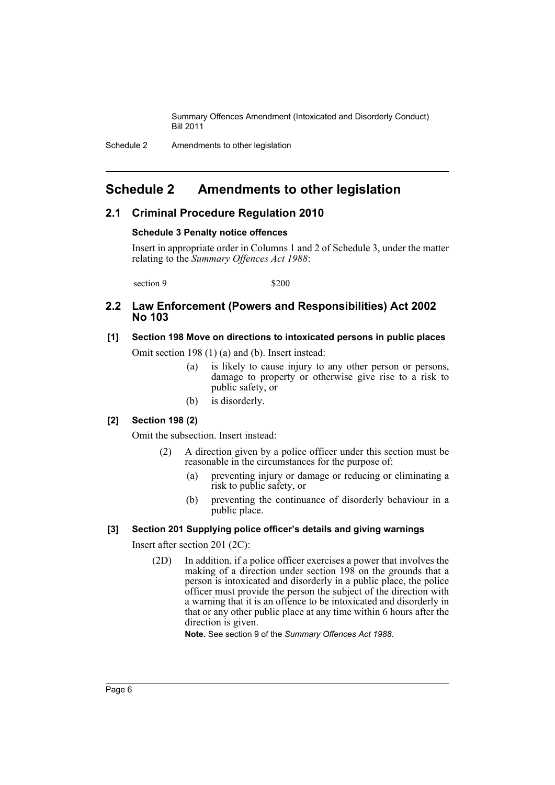Schedule 2 Amendments to other legislation

# <span id="page-7-0"></span>**Schedule 2 Amendments to other legislation**

# **2.1 Criminal Procedure Regulation 2010**

#### **Schedule 3 Penalty notice offences**

Insert in appropriate order in Columns 1 and 2 of Schedule 3, under the matter relating to the *Summary Offences Act 1988*:

 $\sec$ tion 9  $\frac{1}{200}$ 

# **2.2 Law Enforcement (Powers and Responsibilities) Act 2002 No 103**

# **[1] Section 198 Move on directions to intoxicated persons in public places**

Omit section 198 (1) (a) and (b). Insert instead:

- (a) is likely to cause injury to any other person or persons, damage to property or otherwise give rise to a risk to public safety, or
- (b) is disorderly.

## **[2] Section 198 (2)**

Omit the subsection. Insert instead:

- (2) A direction given by a police officer under this section must be reasonable in the circumstances for the purpose of:
	- (a) preventing injury or damage or reducing or eliminating a risk to public safety, or
	- (b) preventing the continuance of disorderly behaviour in a public place.

## **[3] Section 201 Supplying police officer's details and giving warnings**

Insert after section 201 (2C):

(2D) In addition, if a police officer exercises a power that involves the making of a direction under section 198 on the grounds that a person is intoxicated and disorderly in a public place, the police officer must provide the person the subject of the direction with a warning that it is an offence to be intoxicated and disorderly in that or any other public place at any time within 6 hours after the direction is given.

**Note.** See section 9 of the *Summary Offences Act 1988*.